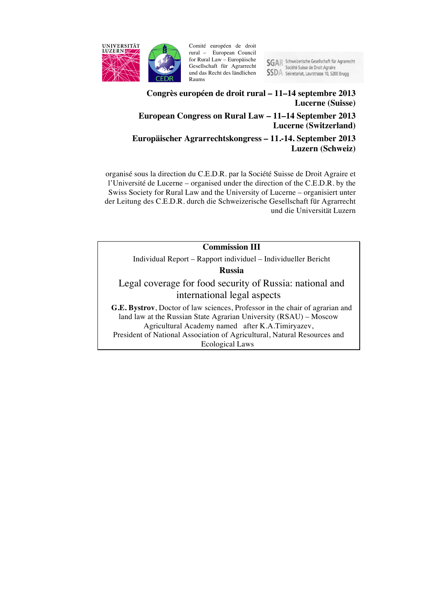

Comité européen de droit rural – European Council for Rural Law – Europäische Gesellschaft für Agrarrecht und das Recht des ländlichen Raums

**SGAR** Schweizerische Gesellschaft für Agrarrecht Société Suisse de Droit Agraire **SSDA** Sekretariat, Laurstrasse 10, 5200 Brugg

## **Congrès européen de droit rural – 11–14 septembre 2013 Lucerne (Suisse) European Congress on Rural Law – 11–14 September 2013 Lucerne (Switzerland)**

**Europäischer Agrarrechtskongress – 11.-14. September 2013 Luzern (Schweiz)**

organisé sous la direction du C.E.D.R. par la Société Suisse de Droit Agraire et l'Université de Lucerne – organised under the direction of the C.E.D.R. by the Swiss Society for Rural Law and the University of Lucerne – organisiert unter der Leitung des C.E.D.R. durch die Schweizerische Gesellschaft für Agrarrecht und die Universität Luzern

## **Commission III**

Individual Report – Rapport individuel – Individueller Bericht

**Russia**

Legal coverage for food security of Russia: national and international legal aspects

**G.E. Bystrov**, Doctor of law sciences, Professor in the chair of agrarian and land law at the Russian State Agrarian University (RSAU) – Moscow Agricultural Academy named after K.A.Timiryazev, President of National Association of Agricultural, Natural Resources and Ecological Laws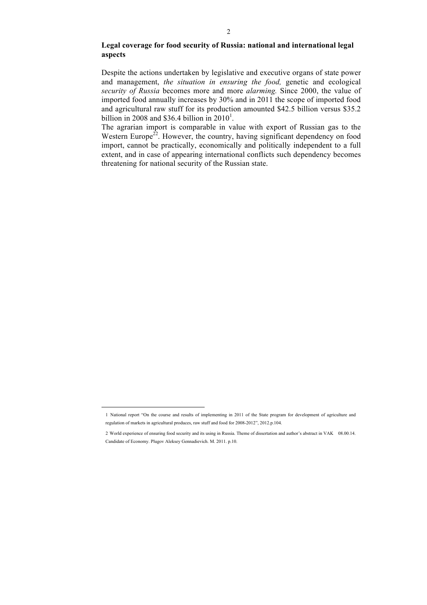## **Legal coverage for food security of Russia: national and international legal aspects**

Despite the actions undertaken by legislative and executive organs of state power and management, *the situation in ensuring the food,* genetic and ecological *security of Russia* becomes more and more *alarming.* Since 2000, the value of imported food annually increases by 30% and in 2011 the scope of imported food and agricultural raw stuff for its production amounted \$42.5 billion versus \$35.2 billion in 2008 and \$36.4 billion in  $2010^1$ .

The agrarian import is comparable in value with export of Russian gas to the Western Europe<sup>22</sup>. However, the country, having significant dependency on food import, cannot be practically, economically and politically independent to a full extent, and in case of appearing international conflicts such dependency becomes threatening for national security of the Russian state.

1

<sup>1</sup> National report "On the course and results of implementing in 2011 of the State program for development of agriculture and regulation of markets in agricultural produces, raw stuff and food for 2008-2012", 2012.p.104.

<sup>2</sup> World experience of ensuring food security and its using in Russia. Theme of dissertation and author's abstract in VAK 08.00.14. Candidate of Economy. Plugov Aleksey Gennadievich. М. 2011. p.10.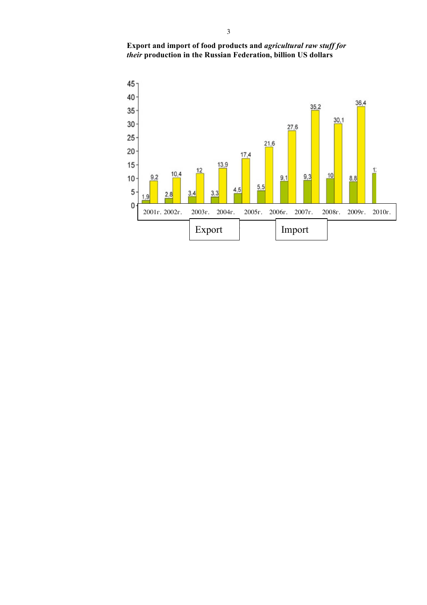

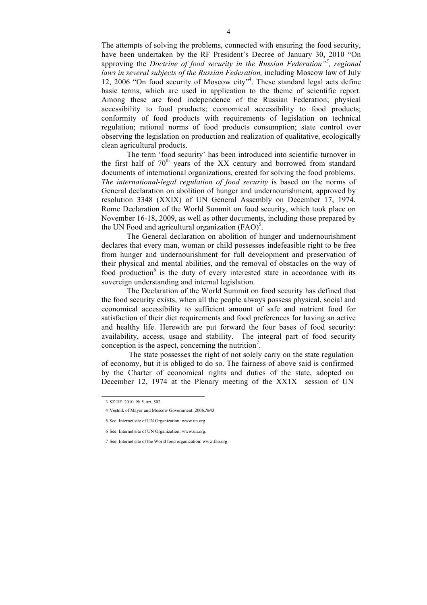The attempts of solving the problems, connected with ensuring the food security, have been undertaken by the RF President's Decree of January 30, 2010 "On approving the *Doctrine of food security in the Russian Federation*<sup>3</sup>, regional *laws in several subjects of the Russian Federation,* including Moscow law of July 12, 2006 "On food security of Moscow city"<sup>4</sup>. These standard legal acts define basic terms, which are used in application to the theme of scientific report. Among these are food independence of the Russian Federation; physical accessibility to food products; economical accessibility to food products; conformity of food products with requirements of legislation on technical regulation; rational norms of food products consumption; state control over observing the legislation on production and realization of qualitative, ecologically clean agricultural products.

The term 'food security' has been introduced into scientific turnover in the first half of  $70<sup>th</sup>$  years of the XX century and borrowed from standard documents of international organizations, created for solving the food problems. *The international-legal regulation of food security* is based on the norms of General declaration on abolition of hunger and undernourishment, approved by resolution 3348 (XXIX) of UN General Assembly on December 17, 1974, Rome Declaration of the World Summit on food security, which took place on November 16-18, 2009, as well as other documents, including those prepared by the UN Food and agricultural organization  $(FAO)^5$ .

The General declaration on abolition of hunger and undernourishment declares that every man, woman or child possesses indefeasible right to be free from hunger and undernourishment for full development and preservation of their physical and mental abilities, and the removal of obstacles on the way of food production $6$  is the duty of every interested state in accordance with its sovereign understanding and internal legislation.

The Declaration of the World Summit on food security has defined that the food security exists, when all the people always possess physical, social and economical accessibility to sufficient amount of safe and nutrient food for satisfaction of their diet requirements and food preferences for having an active and healthy life. Herewith are put forward the four bases of food security: availability, access, usage and stability. The integral part of food security conception is the aspect, concerning the nutrition<sup>7</sup>.

The state possesses the right of not solely carry on the state regulation of economy, but it is obliged to do so. The fairness of above said is confirmed by the Charter of economical rights and duties of the state, adopted on December 12, 1974 at the Plenary meeting of the ХХ1Х session of UN

<sup>3</sup> SZ RF. 2010. № 5. art. 502.

<sup>4</sup> Vestnik of Mayor and Moscow Government. 2006.№43.

<sup>5</sup> See: Internet site of UN Organization: www.un.org

<sup>6</sup> See: Internet site of UN Organization: www.un.org.

<sup>7</sup> See: Internet site of the World food organization: www.fao.org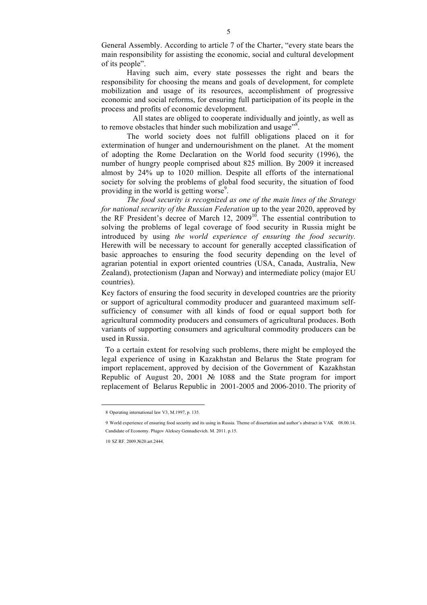General Assembly. According to article 7 of the Charter, "every state bears the main responsibility for assisting the economic, social and cultural development of its people".

Having such aim, every state possesses the right and bears the responsibility for choosing the means and goals of development, for complete mobilization and usage of its resources, accomplishment of progressive economic and social reforms, for ensuring full participation of its people in the process and profits of economic development.

 All states are obliged to cooperate individually and jointly, as well as to remove obstacles that hinder such mobilization and usage" $\frac{8}{3}$ .

The world society does not fulfill obligations placed on it for extermination of hunger and undernourishment on the planet. At the moment of adopting the Rome Declaration on the World food security (1996), the number of hungry people comprised about 825 million. By 2009 it increased almost by 24% up to 1020 million. Despite all efforts of the international society for solving the problems of global food security, the situation of food providing in the world is getting worse<sup>9</sup>.

*The food security is recognized as one of the main lines of the Strategy for national security of the Russian Federation* up to the year 2020, approved by the RF President's decree of March  $12$ ,  $2009<sup>10</sup>$ . The essential contribution to solving the problems of legal coverage of food security in Russia might be introduced by using *the world experience of ensuring the food security.*  Herewith will be necessary to account for generally accepted classification of basic approaches to ensuring the food security depending on the level of agrarian potential in export oriented countries (USA, Canada, Australia, New Zealand), protectionism (Japan and Norway) and intermediate policy (major EU countries).

Key factors of ensuring the food security in developed countries are the priority or support of agricultural commodity producer and guaranteed maximum selfsufficiency of consumer with all kinds of food or equal support both for agricultural commodity producers and consumers of agricultural produces. Both variants of supporting consumers and agricultural commodity producers can be used in Russia.

 To a certain extent for resolving such problems, there might be employed the legal experience of using in Kazakhstan and Belarus the State program for import replacement, approved by decision of the Government of Kazakhstan Republic of August 20, 2001 № 1088 and the State program for import replacement of Belarus Republic in 2001-2005 and 2006-2010. The priority of

<sup>8</sup> Operating international law V3, M.1997, p. 135.

<sup>9</sup> World experience of ensuring food security and its using in Russia. Theme of dissertation and author's abstract in VAK 08.00.14. Candidate of Economy. Plugov Aleksey Gennadievich. М. 2011. p.15.

<sup>10</sup> SZ RF. 2009.№20.art.2444.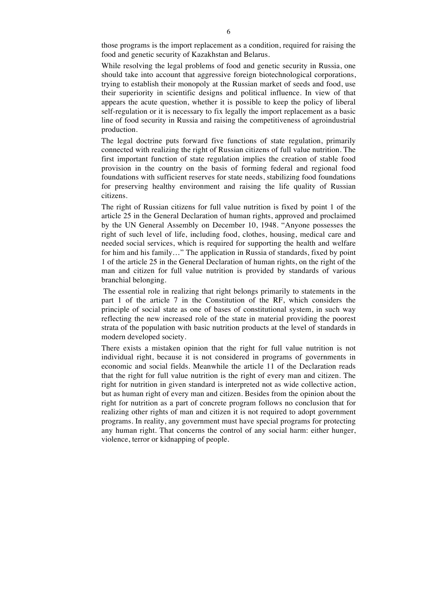those programs is the import replacement as a condition, required for raising the food and genetic security of Kazakhstan and Belarus.

While resolving the legal problems of food and genetic security in Russia, one should take into account that aggressive foreign biotechnological corporations, trying to establish their monopoly at the Russian market of seeds and food, use their superiority in scientific designs and political influence. In view of that appears the acute question, whether it is possible to keep the policy of liberal self-regulation or it is necessary to fix legally the import replacement as a basic line of food security in Russia and raising the competitiveness of agroindustrial production.

The legal doctrine puts forward five functions of state regulation, primarily connected with realizing the right of Russian citizens of full value nutrition. The first important function of state regulation implies the creation of stable food provision in the country on the basis of forming federal and regional food foundations with sufficient reserves for state needs, stabilizing food foundations for preserving healthy environment and raising the life quality of Russian citizens.

The right of Russian citizens for full value nutrition is fixed by point 1 of the article 25 in the General Declaration of human rights, approved and proclaimed by the UN General Assembly on December 10, 1948. "Anyone possesses the right of such level of life, including food, clothes, housing, medical care and needed social services, which is required for supporting the health and welfare for him and his family…" The application in Russia of standards, fixed by point 1 of the article 25 in the General Declaration of human rights, on the right of the man and citizen for full value nutrition is provided by standards of various branchial belonging.

The essential role in realizing that right belongs primarily to statements in the part 1 of the article 7 in the Constitution of the RF, which considers the principle of social state as one of bases of constitutional system, in such way reflecting the new increased role of the state in material providing the poorest strata of the population with basic nutrition products at the level of standards in modern developed society.

There exists a mistaken opinion that the right for full value nutrition is not individual right, because it is not considered in programs of governments in economic and social fields. Meanwhile the article 11 of the Declaration reads that the right for full value nutrition is the right of every man and citizen. The right for nutrition in given standard is interpreted not as wide collective action, but as human right of every man and citizen. Besides from the opinion about the right for nutrition as a part of concrete program follows no conclusion that for realizing other rights of man and citizen it is not required to adopt government programs. In reality, any government must have special programs for protecting any human right. That concerns the control of any social harm: either hunger, violence, terror or kidnapping of people.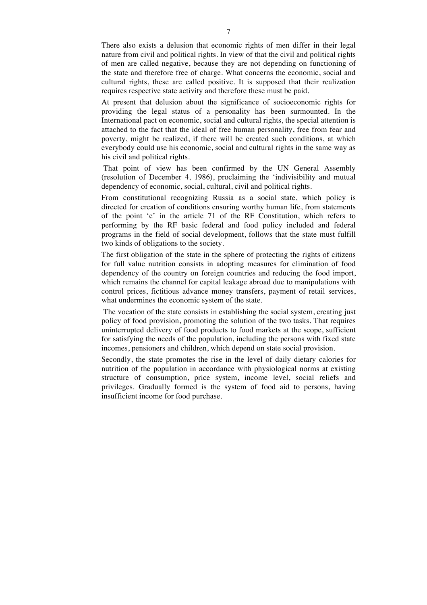There also exists a delusion that economic rights of men differ in their legal nature from civil and political rights. In view of that the civil and political rights of men are called negative, because they are not depending on functioning of the state and therefore free of charge. What concerns the economic, social and cultural rights, these are called positive. It is supposed that their realization requires respective state activity and therefore these must be paid.

At present that delusion about the significance of socioeconomic rights for providing the legal status of a personality has been surmounted. In the International pact on economic, social and cultural rights, the special attention is attached to the fact that the ideal of free human personality, free from fear and poverty, might be realized, if there will be created such conditions, at which everybody could use his economic, social and cultural rights in the same way as his civil and political rights.

That point of view has been confirmed by the UN General Assembly (resolution of December 4, 1986), proclaiming the 'indivisibility and mutual dependency of economic, social, cultural, civil and political rights.

From constitutional recognizing Russia as a social state, which policy is directed for creation of conditions ensuring worthy human life, from statements of the point 'e' in the article 71 of the RF Constitution, which refers to performing by the RF basic federal and food policy included and federal programs in the field of social development, follows that the state must fulfill two kinds of obligations to the society.

The first obligation of the state in the sphere of protecting the rights of citizens for full value nutrition consists in adopting measures for elimination of food dependency of the country on foreign countries and reducing the food import, which remains the channel for capital leakage abroad due to manipulations with control prices, fictitious advance money transfers, payment of retail services, what undermines the economic system of the state.

The vocation of the state consists in establishing the social system, creating just policy of food provision, promoting the solution of the two tasks. That requires uninterrupted delivery of food products to food markets at the scope, sufficient for satisfying the needs of the population, including the persons with fixed state incomes, pensioners and children, which depend on state social provision.

Secondly, the state promotes the rise in the level of daily dietary calories for nutrition of the population in accordance with physiological norms at existing structure of consumption, price system, income level, social reliefs and privileges. Gradually formed is the system of food aid to persons, having insufficient income for food purchase.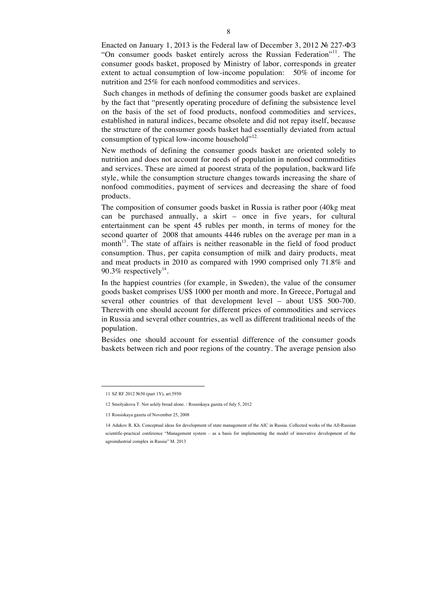Enacted on January 1, 2013 is the Federal law of December 3, 2012 № 227-ФЗ "On consumer goods basket entirely across the Russian Federation"<sup>11</sup>. The consumer goods basket, proposed by Ministry of labor, corresponds in greater extent to actual consumption of low-income population: 50% of income for nutrition and 25% for each nonfood commodities and services.

Such changes in methods of defining the consumer goods basket are explained by the fact that "presently operating procedure of defining the subsistence level on the basis of the set of food products, nonfood commodities and services, established in natural indices, became obsolete and did not repay itself, because the structure of the consumer goods basket had essentially deviated from actual consumption of typical low-income household"<sup>12.</sup>

New methods of defining the consumer goods basket are oriented solely to nutrition and does not account for needs of population in nonfood commodities and services. These are aimed at poorest strata of the population, backward life style, while the consumption structure changes towards increasing the share of nonfood commodities, payment of services and decreasing the share of food products.

The composition of consumer goods basket in Russia is rather poor (40kg meat can be purchased annually, a skirt – once in five years, for cultural entertainment can be spent 45 rubles per month, in terms of money for the second quarter of 2008 that amounts 4446 rubles on the average per man in a month<sup>13</sup>. The state of affairs is neither reasonable in the field of food product consumption. Thus, per capita consumption of milk and dairy products, meat and meat products in 2010 as compared with 1990 comprised only 71.8% and 90.3% respectively $^{14}$ .

In the happiest countries (for example, in Sweden), the value of the consumer goods basket comprises US\$ 1000 per month and more. In Greece, Portugal and several other countries of that development level – about US\$ 500-700. Therewith one should account for different prices of commodities and services in Russia and several other countries, as well as different traditional needs of the population.

Besides one should account for essential difference of the consumer goods baskets between rich and poor regions of the country. The average pension also

<sup>11</sup> SZ RF 2012 №50 (part 1Y), art.5950

<sup>12</sup> Smolyakova T. Not solely bread alone. / Rossiskaya gazeta of July 5, 2012

<sup>13</sup> Rossiskaya gazeta of November 25, 2008

<sup>14</sup> Adukov R. Kh. Conceptual ideas for development of state management of the AIC in Russia. Collected works of the All-Russian scientific-practical conference "Management system – as a basis for implementing the model of innovative development of the agroindustrial complex in Russia" M. 2013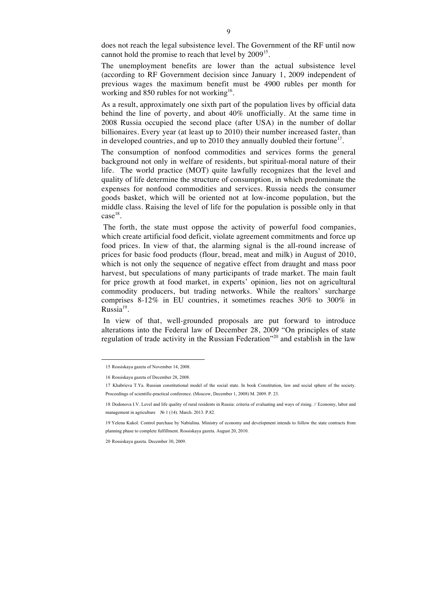does not reach the legal subsistence level. The Government of the RF until now cannot hold the promise to reach that level by 2009<sup>15</sup>.

The unemployment benefits are lower than the actual subsistence level (according to RF Government decision since January 1, 2009 independent of previous wages the maximum benefit must be 4900 rubles per month for working and 850 rubles for not working<sup>16</sup>.

As a result, approximately one sixth part of the population lives by official data behind the line of poverty, and about 40% unofficially. At the same time in 2008 Russia occupied the second place (after USA) in the number of dollar billionaires. Every year (at least up to 2010) their number increased faster, than in developed countries, and up to 2010 they annually doubled their fortune<sup>17</sup>.

The consumption of nonfood commodities and services forms the general background not only in welfare of residents, but spiritual-moral nature of their life. The world practice (MOT) quite lawfully recognizes that the level and quality of life determine the structure of consumption, in which predominate the expenses for nonfood commodities and services. Russia needs the consumer goods basket, which will be oriented not at low-income population, but the middle class. Raising the level of life for the population is possible only in that  $case<sup>18</sup>$ .

The forth, the state must oppose the activity of powerful food companies, which create artificial food deficit, violate agreement commitments and force up food prices. In view of that, the alarming signal is the all-round increase of prices for basic food products (flour, bread, meat and milk) in August of 2010, which is not only the sequence of negative effect from draught and mass poor harvest, but speculations of many participants of trade market. The main fault for price growth at food market, in experts' opinion, lies not on agricultural commodity producers, but trading networks. While the realtors' surcharge comprises 8-12% in EU countries, it sometimes reaches 30% to 300% in  $Russia<sup>19</sup>$ .

In view of that, well-grounded proposals are put forward to introduce alterations into the Federal law of December 28, 2009 "On principles of state regulation of trade activity in the Russian Federation"<sup>20</sup> and establish in the law

<sup>15</sup> Rossiskaya gazeta of November 14, 2008.

<sup>16</sup> Rossiskaya gazeta of December 28, 2008.

<sup>17</sup> Khabrieva T.Ya. Russian constitutional model of the social state. In book Constitution, law and social sphere of the society. Proceedings of scientific-practical conference. (Moscow, December 1, 2008) M. 2009. P. 23.

<sup>18</sup> Dodonova I.V. Level and life quality of rural residents in Russia: criteria of evaluating and ways of rising. // Economy, labor and management in agriculture № 1 (14). March. 2013. P.82.

<sup>19</sup> Yelena Kukol. Control purchase by Nabiulina. Ministry of economy and development intends to follow the state contracts from planning phase to complete fulfillment. Rossiskaya gazeta. August 20, 2010.

<sup>20</sup> Rossiskaya gazeta. December 30, 2009.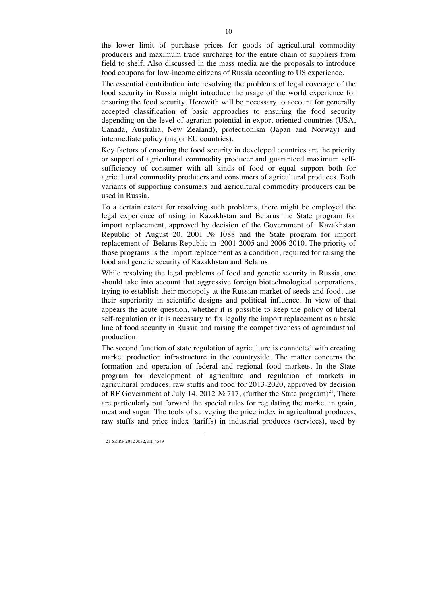the lower limit of purchase prices for goods of agricultural commodity producers and maximum trade surcharge for the entire chain of suppliers from field to shelf. Also discussed in the mass media are the proposals to introduce food coupons for low-income citizens of Russia according to US experience.

The essential contribution into resolving the problems of legal coverage of the food security in Russia might introduce the usage of the world experience for ensuring the food security. Herewith will be necessary to account for generally accepted classification of basic approaches to ensuring the food security depending on the level of agrarian potential in export oriented countries (USA, Canada, Australia, New Zealand), protectionism (Japan and Norway) and intermediate policy (major EU countries).

Key factors of ensuring the food security in developed countries are the priority or support of agricultural commodity producer and guaranteed maximum selfsufficiency of consumer with all kinds of food or equal support both for agricultural commodity producers and consumers of agricultural produces. Both variants of supporting consumers and agricultural commodity producers can be used in Russia.

To a certain extent for resolving such problems, there might be employed the legal experience of using in Kazakhstan and Belarus the State program for import replacement, approved by decision of the Government of Kazakhstan Republic of August 20, 2001 № 1088 and the State program for import replacement of Belarus Republic in 2001-2005 and 2006-2010. The priority of those programs is the import replacement as a condition, required for raising the food and genetic security of Kazakhstan and Belarus.

While resolving the legal problems of food and genetic security in Russia, one should take into account that aggressive foreign biotechnological corporations, trying to establish their monopoly at the Russian market of seeds and food, use their superiority in scientific designs and political influence. In view of that appears the acute question, whether it is possible to keep the policy of liberal self-regulation or it is necessary to fix legally the import replacement as a basic line of food security in Russia and raising the competitiveness of agroindustrial production.

The second function of state regulation of agriculture is connected with creating market production infrastructure in the countryside. The matter concerns the formation and operation of federal and regional food markets. In the State program for development of agriculture and regulation of markets in agricultural produces, raw stuffs and food for 2013-2020, approved by decision of RF Government of July 14, 2012 № 717, (further the State program)<sup>21</sup>, There are particularly put forward the special rules for regulating the market in grain, meat and sugar. The tools of surveying the price index in agricultural produces, raw stuffs and price index (tariffs) in industrial produces (services), used by

 $\ddot{ }$ 

<sup>21</sup> SZ RF 2012 №32, art. 4549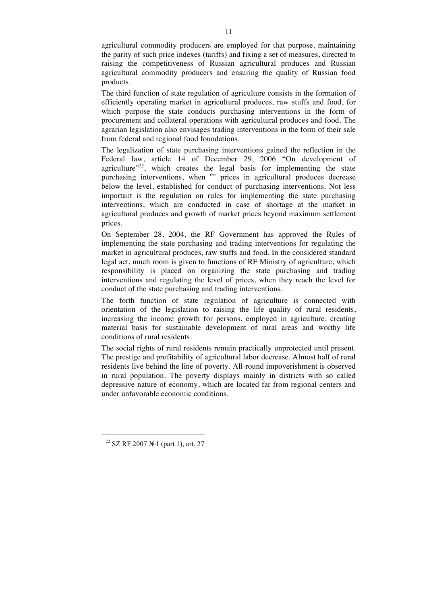agricultural commodity producers are employed for that purpose, maintaining the parity of such price indexes (tariffs) and fixing a set of measures, directed to raising the competitiveness of Russian agricultural produces and Russian agricultural commodity producers and ensuring the quality of Russian food products.

The third function of state regulation of agriculture consists in the formation of efficiently operating market in agricultural produces, raw stuffs and food, for which purpose the state conducts purchasing interventions in the form of procurement and collateral operations with agricultural produces and food. The agrarian legislation also envisages trading interventions in the form of their sale from federal and regional food foundations.

The legalization of state purchasing interventions gained the reflection in the Federal law, article 14 of December 29, 2006 "On development of agriculture"<sup>22</sup>, which creates the legal basis for implementing the state purchasing interventions, when <sup>the</sup> prices in agricultural produces decrease below the level, established for conduct of purchasing interventions. Not less important is the regulation on rules for implementing the state purchasing interventions, which are conducted in case of shortage at the market in agricultural produces and growth of market prices beyond maximum settlement prices.

On September 28, 2004, the RF Government has approved the Rules of implementing the state purchasing and trading interventions for regulating the market in agricultural produces, raw stuffs and food. In the considered standard legal act, much room is given to functions of RF Ministry of agriculture, which responsibility is placed on organizing the state purchasing and trading interventions and regulating the level of prices, when they reach the level for conduct of the state purchasing and trading interventions.

The forth function of state regulation of agriculture is connected with orientation of the legislation to raising the life quality of rural residents, increasing the income growth for persons, employed in agriculture, creating material basis for sustainable development of rural areas and worthy life conditions of rural residents.

The social rights of rural residents remain practically unprotected until present. The prestige and profitability of agricultural labor decrease. Almost half of rural residents live behind the line of poverty. All-round impoverishment is observed in rural population. The poverty displays mainly in districts with so called depressive nature of economy, which are located far from regional centers and under unfavorable economic conditions.

 $\ddot{ }$ 

<sup>22</sup> SZ RF 2007 №1 (part 1), art. 27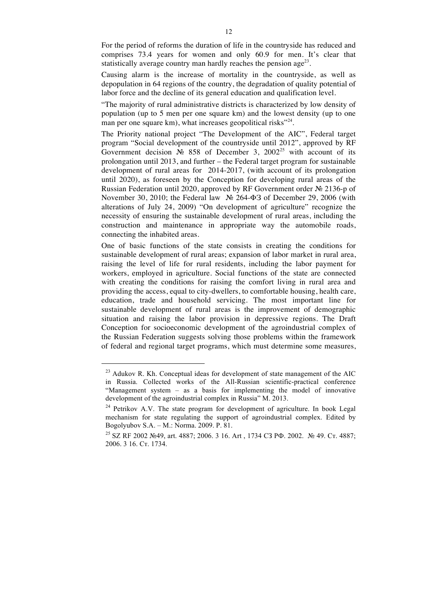For the period of reforms the duration of life in the countryside has reduced and comprises 73.4 years for women and only 60.9 for men. It's clear that statistically average country man hardly reaches the pension age<sup>23</sup>.

Causing alarm is the increase of mortality in the countryside, as well as depopulation in 64 regions of the country, the degradation of quality potential of labor force and the decline of its general education and qualification level.

"The majority of rural administrative districts is characterized by low density of population (up to 5 men per one square km) and the lowest density (up to one man per one square km), what increases geopolitical risks<sup>"24</sup>.

The Priority national project "The Development of the AIC", Federal target program "Social development of the countryside until 2012", approved by RF Government decision  $\mathbb{N}^2$  858 of December 3, 2002<sup>25</sup> with account of its prolongation until 2013, and further – the Federal target program for sustainable development of rural areas for 2014-2017, (with account of its prolongation until 2020), as foreseen by the Conception for developing rural areas of the Russian Federation until 2020, approved by RF Government order № 2136-р of November 30, 2010; the Federal law № 264-ФЗ of December 29, 2006 (with alterations of July 24, 2009) "On development of agriculture" recognize the necessity of ensuring the sustainable development of rural areas, including the construction and maintenance in appropriate way the automobile roads, connecting the inhabited areas.

One of basic functions of the state consists in creating the conditions for sustainable development of rural areas; expansion of labor market in rural area, raising the level of life for rural residents, including the labor payment for workers, employed in agriculture. Social functions of the state are connected with creating the conditions for raising the comfort living in rural area and providing the access, equal to city-dwellers, to comfortable housing, health care, education, trade and household servicing. The most important line for sustainable development of rural areas is the improvement of demographic situation and raising the labor provision in depressive regions. The Draft Conception for socioeconomic development of the agroindustrial complex of the Russian Federation suggests solving those problems within the framework of federal and regional target programs, which must determine some measures,

 $23$  Adukov R. Kh. Conceptual ideas for development of state management of the AIC in Russia. Collected works of the All-Russian scientific-practical conference "Management system – as a basis for implementing the model of innovative development of the agroindustrial complex in Russia" M. 2013.

<sup>&</sup>lt;sup>24</sup> Petrikov A.V. The state program for development of agriculture. In book Legal mechanism for state regulating the support of agroindustrial complex. Edited by Bogolyubov S.A. – M.: Norma. 2009. P. 81.

<sup>&</sup>lt;sup>25</sup> SZ RF 2002 №49, art. 4887; 2006. 3 16. Art, 1734 СЗ РФ. 2002. № 49. Ст. 4887; 2006. 3 16. Ст. 1734.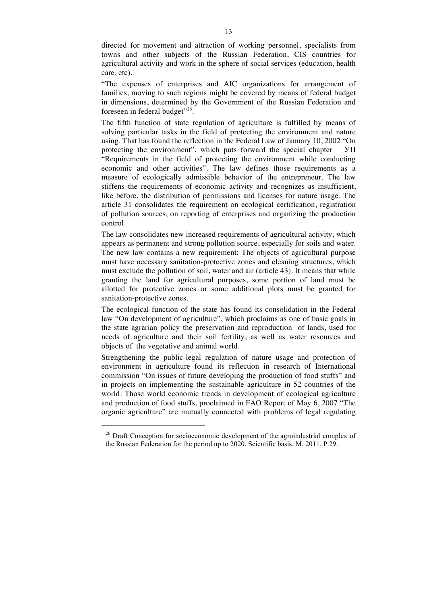directed for movement and attraction of working personnel, specialists from towns and other subjects of the Russian Federation, CIS countries for agricultural activity and work in the sphere of social services (education, health care, etc).

"The expenses of enterprises and AIC organizations for arrangement of families, moving to such regions might be covered by means of federal budget in dimensions, determined by the Government of the Russian Federation and foreseen in federal budget"<sup>26</sup>.

The fifth function of state regulation of agriculture is fulfilled by means of solving particular tasks in the field of protecting the environment and nature using. That has found the reflection in the Federal Law of January 10, 2002 "On protecting the environment", which puts forward the special chapter УП "Requirements in the field of protecting the environment while conducting economic and other activities". The law defines those requirements as a measure of ecologically admissible behavior of the entrepreneur. The law stiffens the requirements of economic activity and recognizes as insufficient, like before, the distribution of permissions and licenses for nature usage. The article 31 consolidates the requirement on ecological certification, registration of pollution sources, on reporting of enterprises and organizing the production control.

The law consolidates new increased requirements of agricultural activity, which appears as permanent and strong pollution source, especially for soils and water. The new law contains a new requirement: The objects of agricultural purpose must have necessary sanitation-protective zones and cleaning structures, which must exclude the pollution of soil, water and air (article 43). It means that while granting the land for agricultural purposes, some portion of land must be allotted for protective zones or some additional plots must be granted for sanitation-protective zones.

The ecological function of the state has found its consolidation in the Federal law "On development of agriculture", which proclaims as one of basic goals in the state agrarian policy the preservation and reproduction of lands, used for needs of agriculture and their soil fertility, as well as water resources and objects of the vegetative and animal world.

Strengthening the public-legal regulation of nature usage and protection of environment in agriculture found its reflection in research of International commission "On issues of future developing the production of food stuffs" and in projects on implementing the sustainable agriculture in 52 countries of the world. Those world economic trends in development of ecological agriculture and production of food stuffs, proclaimed in FAO Report of May 6, 2007 "The organic agriculture" are mutually connected with problems of legal regulating

<sup>&</sup>lt;sup>26</sup> Draft Conception for socioeconomic development of the agroindustrial complex of the Russian Federation for the period up to 2020. Scientific basis. M. 2011. P.29.